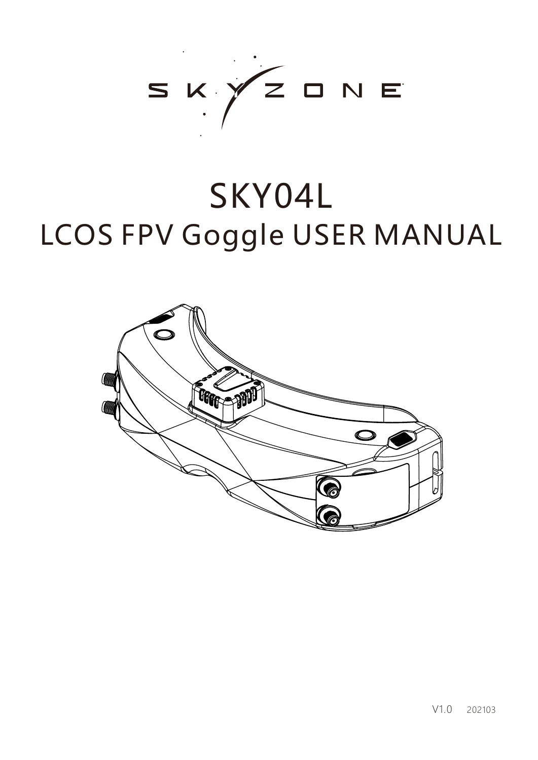

# SKY04L LCOS FPV Goggle USER MANUAL

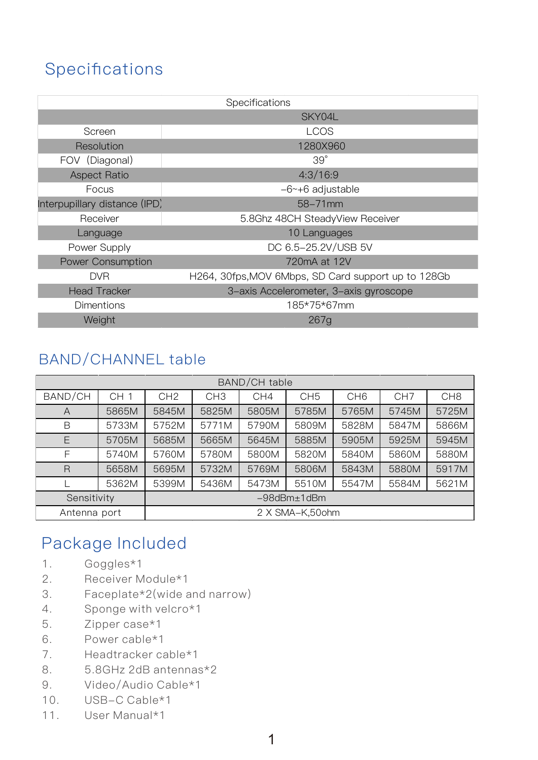# **Specifications**

| Specifications                |                                                     |  |  |  |  |  |  |
|-------------------------------|-----------------------------------------------------|--|--|--|--|--|--|
|                               | SKY04L                                              |  |  |  |  |  |  |
| Screen                        | <b>LCOS</b>                                         |  |  |  |  |  |  |
| Resolution                    | 1280X960                                            |  |  |  |  |  |  |
| FOV (Diagonal)                | $39^\circ$                                          |  |  |  |  |  |  |
| <b>Aspect Ratio</b>           | 4:3/16:9                                            |  |  |  |  |  |  |
| Focus                         | $-6$ $\sim$ +6 adjustable                           |  |  |  |  |  |  |
| Interpupillary distance (IPD) | $58 - 71$ mm                                        |  |  |  |  |  |  |
| Receiver                      | 5.8Ghz 48CH SteadyView Receiver                     |  |  |  |  |  |  |
| Language                      | 10 Languages                                        |  |  |  |  |  |  |
| Power Supply                  | DC 6.5-25.2V/USB 5V                                 |  |  |  |  |  |  |
| <b>Power Consumption</b>      | 720mA at 12V                                        |  |  |  |  |  |  |
| <b>DVR</b>                    | H264, 30fps, MOV 6Mbps, SD Card support up to 128Gb |  |  |  |  |  |  |
| <b>Head Tracker</b>           | 3-axis Accelerometer, 3-axis gyroscope              |  |  |  |  |  |  |
| <b>Dimentions</b>             | 185*75*67mm                                         |  |  |  |  |  |  |
| Weight<br>267g                |                                                     |  |  |  |  |  |  |

## BAND/CHANNEL table

| BAND/CH table           |                 |                       |                 |       |                 |                 |                 |                 |  |
|-------------------------|-----------------|-----------------------|-----------------|-------|-----------------|-----------------|-----------------|-----------------|--|
| BAND/CH                 | CH <sub>1</sub> | CH <sub>2</sub>       | CH <sub>3</sub> | CH4   | CH <sub>5</sub> | CH <sub>6</sub> | CH <sub>7</sub> | CH <sub>8</sub> |  |
| A                       | 5865M           | 5845M                 | 5825M           | 5805M | 5785M           | 5765M           | 5745M           | 5725M           |  |
| B                       | 5733M           | 5752M                 | 5771M           | 5790M | 5809M           | 5828M           | 5847M           | 5866M           |  |
| E                       | 5705M           | 5685M                 | 5665M           | 5645M | 5885M           | 5905M           | 5925M           | 5945M           |  |
| F                       | 5740M           | 5760M                 | 5780M           | 5800M | 5820M           | 5840M           | 5860M           | 5880M           |  |
| $\overline{\mathsf{R}}$ | 5658M           | 5695M                 | 5732M           | 5769M | 5806M           | 5843M           | 5880M           | 5917M           |  |
|                         | 5362M           | 5399M                 | 5436M           | 5473M | 5510M           | 5547M           | 5584M           | 5621M           |  |
| Sensitivity             |                 | $-98$ d $Bm±1$ d $Bm$ |                 |       |                 |                 |                 |                 |  |
| Antenna port            |                 | 2 X SMA-K,50ohm       |                 |       |                 |                 |                 |                 |  |

# Package Included

- 1. Goggles\*1
- 2. Receiver Module\*1
- 3. Faceplate\*2(wide and narrow)
- 4. Sponge with velcro\*1
- 5. Zipper case\*1
- 6. Power cable\*1
- 7. Headtracker cable\*1
- 8. 5.8GHz 2dB antennas\*2
- 9. Video/Audio Cable\*1
- 10. USB-C Cable\*1
- 11. User Manual\*1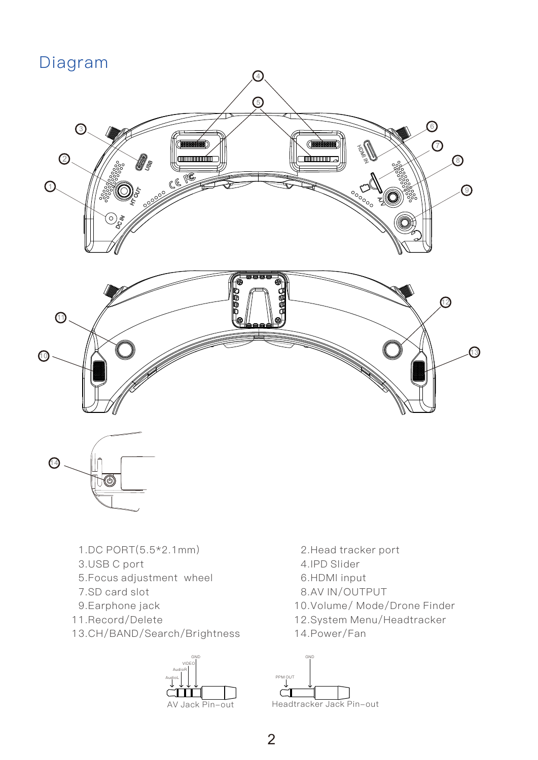# Diagram





- 1.DC PORT(5.5\*2.1mm)
- 3.USB C port
- 5.Focus adjustment wheel
- 7.SD card slot
- 9.Earphone jack
- 11.Record/Delete
- 13.CH/BAND/Search/Brightness



- 2.Head tracker port
- 4.IPD Slider
- 6.HDMI input
- 8.AV IN/OUTPUT
- 10.Volume/ Mode/Drone Finder
- 12.System Menu/Headtracker
- 14.Power/Fan

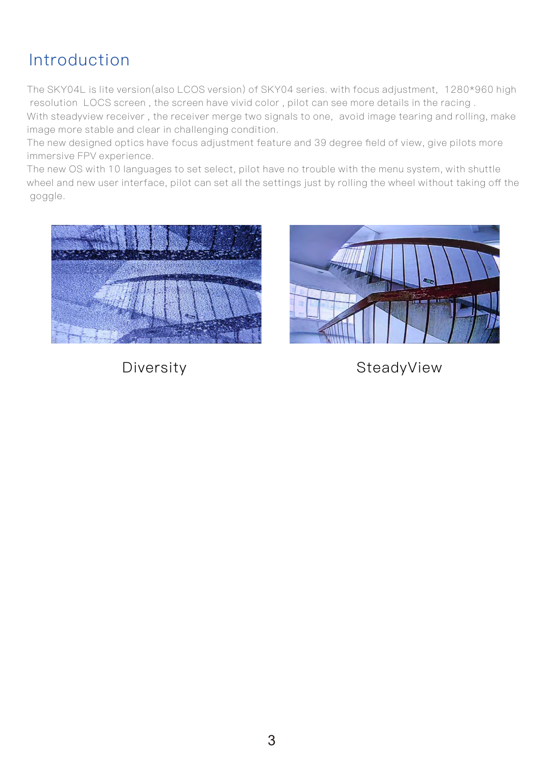# Introduction

The SKY04L is lite version(also LCOS version) of SKY04 series. with focus adjustment, 1280\*960 high resolution LOCS screen , the screen have vivid color , pilot can see more details in the racing .

With steadyview receiver , the receiver merge two signals to one, avoid image tearing and rolling, make image more stable and clear in challenging condition.

The new designed optics have focus adjustment feature and 39 degree field of view, give pilots more immersive FPV experience.

The new OS with 10 languages to set select, pilot have no trouble with the menu system, with shuttle wheel and new user interface, pilot can set all the settings just by rolling the wheel without taking off the goggle.





Diversity **SteadyView**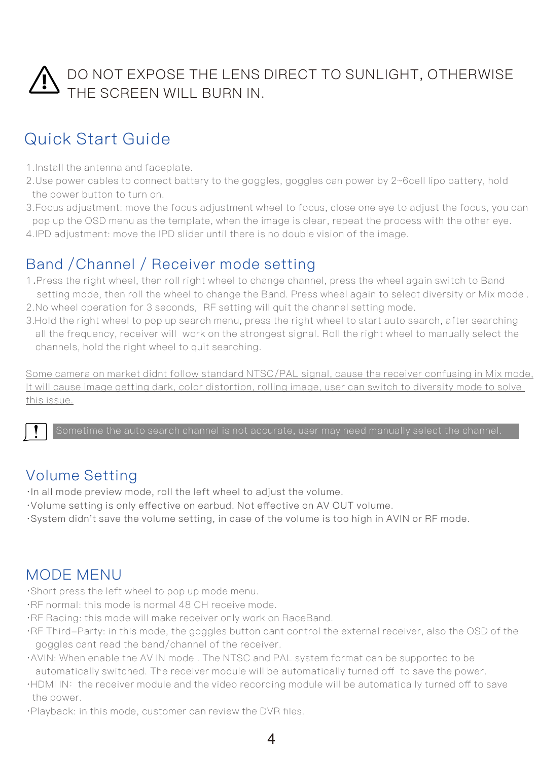# DO NOT EXPOSE THE LENS DIRECT TO SUNLIGHT, OTHERWISE THE SCREEN WILL BURN IN.

# Quick Start Guide

- 1.Install the antenna and faceplate.
- 2.Use power cables to connect battery to the goggles, goggles can power by 2~6cell lipo battery, hold the power button to turn on.
- 3.Focus adjustment: move the focus adjustment wheel to focus, close one eye to adjust the focus, you can pop up the OSD menu as the template, when the image is clear, repeat the process with the other eye. 4.IPD adjustment: move the IPD slider until there is no double vision of the image.

## Band /Channel / Receiver mode setting

- <sup>1</sup>. Press the right wheel, then roll right wheel to change channel, press the wheel again switch to Band setting mode, then roll the wheel to change the Band. Press wheel again to select diversity or Mix mode.
- 2. No wheel operation for 3 seconds, RF setting will quit the channel setting mode.
- 3. Hold the right wheel to pop up search menu, press the right wheel to start auto search, after searching all the frequency, receiver will work on the strongest signal. Roll the right wheel to manually select the channels, hold the right wheel to quit searching.

Some camera on market didnt follow standard NTSC/PAL signal, cause the receiver confusing in Mix mode, It will cause image getting dark, color distortion, rolling image, user can switch to diversity mode to solve this issue.

## Volume Setting

- ·In all mode preview mode, roll the left wheel to adjust the volume.
- ·Volume setting is only effective on earbud. Not effective on AV OUT volume.
- ·System didn't save the volume setting, in case of the volume is too high in AVIN or RF mode.

### MODE MENU

- ·Short press the left wheel to pop up mode menu.
- ·RF normal: this mode is normal 48 CH receive mode.
- ·RF Racing: this mode will make receiver only work on RaceBand.
- ·RF Third-Party: in this mode, the goggles button cant control the external receiver, also the OSD of the goggles cant read the band/channel of the receiver.
- ·AVIN: When enable the AV IN mode . The NTSC and PAL system format can be supported to be automatically switched. The receiver module will be automatically turned off to save the power.
- ·HDMI IN: the receiver module and the video recording module will be automatically turned off to save the power.
- ·Playback: in this mode, customer can review the DVR files.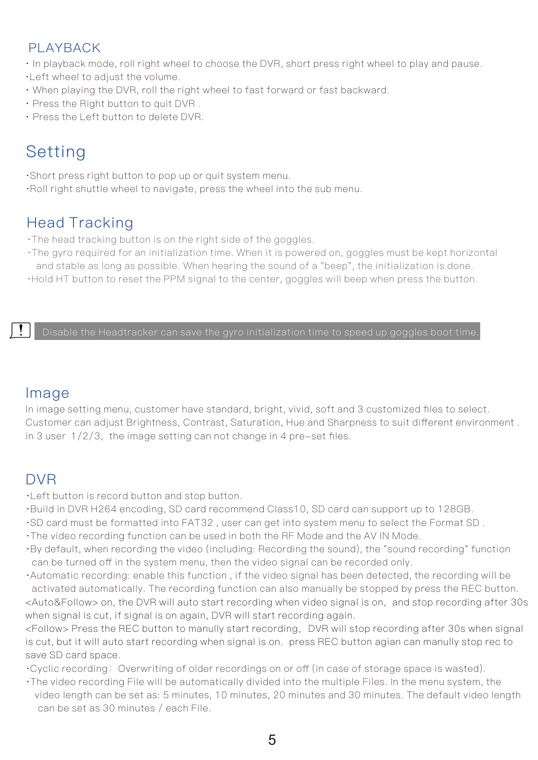#### PLAYBACK

- · In playback mode, roll right wheel to choose the DVR, short press right wheel to play and pause .
- ·Left wheel to adjust the volume.
- · When playing the DVR, roll the right wheel to fast forward or fast backward.
- · Press the Right button to quit DVR .
- · Press the Left button to delete DVR.

# Setting

- ·Short press right button to pop up or quit system menu.
- ·Roll right shuttle wheel to navigate, press the wheel into the sub menu.

## Head Tracking

- ·The head tracking button is on the right side of the goggles.
- ·The gyro required for an initialization time. When it is powered on, goggles must be kept horizontal and stable as long as possible. When hearing the sound of a "beep", the initialization is done.
- ·Hold HT button to reset the PPM signal to the center, goggles will beep when press the button.

Disable the Headtracker can save the gyro initialization time to speed up goggles boot time.

#### Image

In image setting menu, customer have standard, bright, vivid, soft and 3 customized files to select. Customer can adjust Brightness, Contrast, Saturation, Hue and Sharpness to suit different environment . in 3 user 1/2/3, the image setting can not change in 4 pre-set files.

# DVR

- ·Left button is record button and stop button.
- ·Build in DVR H264 encoding, SD card recommend Class10, SD card can support up to 128GB.
- ·SD card must be formatted into FAT32 , user can get into system menu to select the Format SD .
- ·The video recording function can be used in both the RF Mode and the AV IN Mode.
- ·By default, when recording the video (including: Recording the sound), the "sound recording" function can be turned off in the system menu, then the video signal can be recorded only.
- ·Automatic recording: enable this function , if the video signal has been detected, the recording will be activated automatically. The recording function can also manually be stopped by press the REC button. <Auto&Follow> on, the DVR will auto start recording when video signal is on, and stop recording after 30s when signal is cut, if signal is on again, DVR will start recording again.

<Follow> Press the REC button to manully start recording,DVR will stop recording after 30s when signal is cut, but it will auto start recording when signal is on. press REC button agian can manully stop rec to save SD card space.

- ·Cyclic recording:Overwriting of older recordings on or off (in case of storage space is wasted).
- ·The video recording File will be automatically divided into the multiple Files. In the menu system, the video length can be set as: 5 minutes, 10 minutes, 20 minutes and 30 minutes. The default video length can be set as 30 minutes / each File.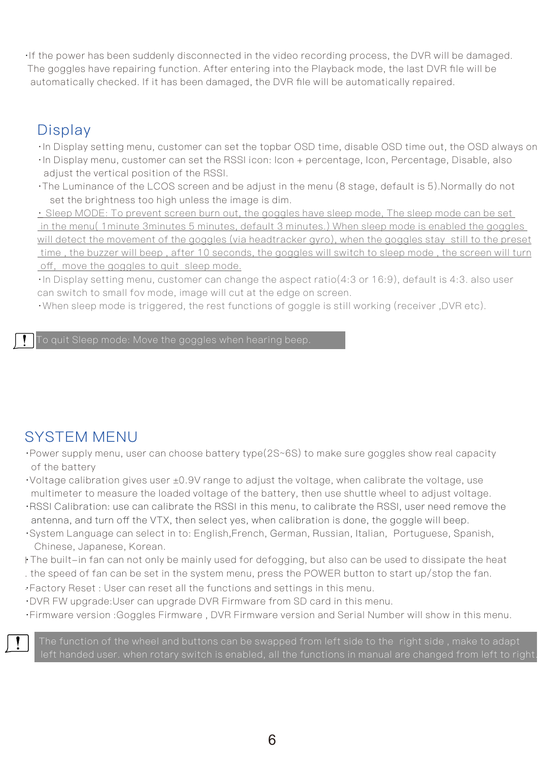·If the power has been suddenly disconnected in the video recording process, the DVR will be damaged. The goggles have repairing function. After entering into the Playback mode, the last DVR file will be automatically checked. If it has been damaged, the DVR file will be automatically repaired.

## **Display**

- · In Display setting menu, customer can set the topbar OSD time, disable OSD time out, the OSD always on.
- ·In Display menu, customer can set the RSSI icon: Icon + percentage, Icon, Percentage, Disable, also adjust the vertical position of the RSSI.
- ·The Luminance of the LCOS screen and be adjust in the menu (8 stage, default is 5).Normally do not set the brightness too high unless the image is dim.

· Sleep MODE: To prevent screen burn out, the goggles have sleep mode, The sleep mode can be set in the menu( 1minute 3minutes 5 minutes, default 3 minutes.) When sleep mode is enabled the goggles will detect the movement of the goggles (via headtracker gyro), when the goggles stay still to the preset time , the buzzer will beep , after 10 seconds, the goggles will switch to sleep mode , the screen will turn off, move the goggles to quit sleep mode.

· In Display setting menu, customer can change the aspect ratio(4:3 or 16:9), default is 4:3. also user can switch to small fov mode, image will cut at the edge on screen.

· When sleep mode is triggered, the rest functions of goggle is still working (receiver ,DVR etc).

To quit Sleep mode: Move the goggles when hearing beep.

# SYSTEM MENU

- ·Power supply menu, user can choose battery type(2S~6S) to make sure goggles show real capacity of the battery
- $\cdot$ Voltage calibration gives user  $\pm 0.9V$  range to adjust the voltage, when calibrate the voltage, use multimeter to measure the loaded voltage of the battery, then use shuttle wheel to adjust voltage.
- ·RSSI Calibration: use can calibrate the RSSI in this menu, to calibrate the RSSI, user need remove the antenna, and turn off the VTX, then select yes, when calibration is done, the goggle will beep.
- ·System Language can select in to: English, French, German, Russian, Italian, Portuguese, Spanish, Chinese, Japanese, Korean.
- ·The built-in fan can not only be mainly used for defogging, but also can be used to dissipate the heat I ·
- . the speed of fan can be set in the system menu, press the POWER button to start up/stop the fan.
- . ·Factory Reset : User can reset all the functions and settings in this menu.
- ·DVR FW upgrade:User can upgrade DVR Firmware from SD card in this menu.
- ·Firmware version :Goggles Firmware , DVR Firmware version and Serial Number will show in this menu.



The function of the wheel and buttons can be swapped from left side to the right side, make to adapt left handed user. when rotary switch is enabled, all the functions in manual are changed from left to right